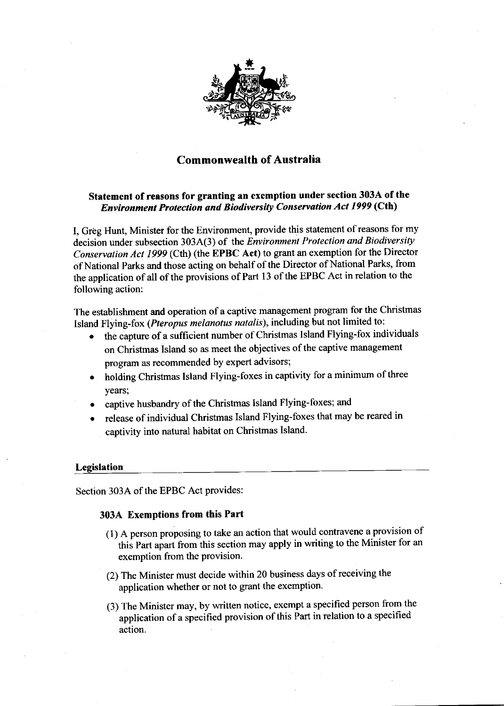

# Commonwealth of Australia

## Statement of reasons for granting an exemption under section 303A of the Environment Protection and Biodiversity Conservation Acl 1999 (Cth\

I, Greg Hunt, Minister for the Environment, provide this statement of reasons for my decision under subsection 3034(3) of the Environment Protection and Biodiversity Conservation Act 1999 (Cth) (the EPBC Act) to grant an exemption for the Director of National Parks and those acting on behalf of the Director of National Parks, from the application of all of the provisions of Part 13 of the EPBC Act in relation to the following action:

The establishment and operation of a captive management program for the Christmas Island Flying-fox (Pteropus melanotus natdlis), including but not limited to:

- o the capture of a sufficient number of christmas Island Flying-fox individuals on Christmas Island so as meet the objectives of the captive management program as recommended by expert advisors;
- o holding Christmas Island Flying-foxes in captivity for a minimum of three vears:
- captive husbandry of the Christmas Island Flying-foxes; and
- release of individual Christmas Island Flying-foxes that may be reared in captivity into natural habitat on Christmas Island.

#### **Legislation**

Section 303A of the EPBC Act provides:

## 303A Exemptions from this Part

- (l) A person proposing to take an action that would contravene a provision of ' this Part apart from this section may apply in writing to the Minister for an exemption from the provision.
- (2) The Minister must deoide within 20 business days of receiving the application whether or not to grant the exemption.
- (3) The Minister may, by written notice, exempt a specified person from the application of a specified provision of this Part in relation to a specified action.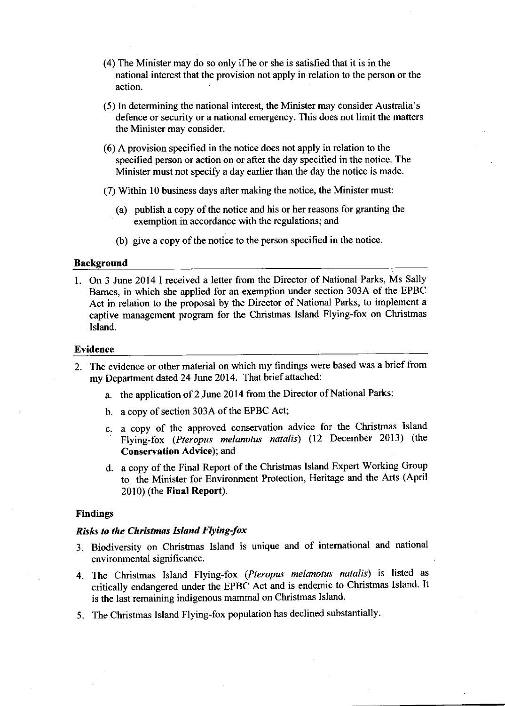- (4) The Minister may do so only if he or she is satisfied that it is in the national interest that the provision not apply in relation to the person or the action.
- (5) In determining the national interest, the Minister may consider Australia's defence or security or a national emergency. This does not limit the matters the Minister may consider.
- (6) A provision specified in the notice does not apply in relation to the specified person or action on or after the day specified in the notice. The Minister must not specifu a day earlier than the day the notice is made.
- (7) Within l0 business days after making the notice, the Minister must:
	- (a) publish a copy of the notice and his or her reasons for granting the exemption in accordance with the regulations; and
	- (b) give a copy of the notice to the person specified in the notice.

#### Background

1. On 3 June 2014 I received a letter from the Director of National Parks, Ms Sally Barnes, in which she applied for an exemption under section 303A of the EPBC Act in relation to the proposal by the Director of National Parks, to implement a captive management program for the Christmas Island Flying-fox on Christmas Island.

#### Evidence

- 2. The evidence or other material on which my findings were based was a brief from my Department dated 24 June 2014. That brief attached:
	- a. the application of 2 June 2014 from the Director of National Parks;
	- b. a copy of section 303A of the EPBC Act;
	- c. a copy of the approved conservation advice for the Christmas Island Flying-fox (Pteropus melanotus natalis) (12 December 2013) (the Conservation Advice); and
	- d. a copy of the Final Report of the Christmas Island Expert Working Group to the Minister for Environment Protection, Heritage and the Arts (April  $2010$ ) (the Final Report).

## Findings

## Risks to the Christmas Island Flying-fox

- 3. Biodiversity on christmas Island is unique and of intemational and national environmental significance.
- 4. The Christmas Island Flying-fox (Pteropus melanotus natalis) is listed as critically endangered under the EPBC Act and is endemic to christmas Island. It is the last remaining indigenous mammal on Christmas Island.
- 5. The Christmas Island Flying-fox population has declined substantially'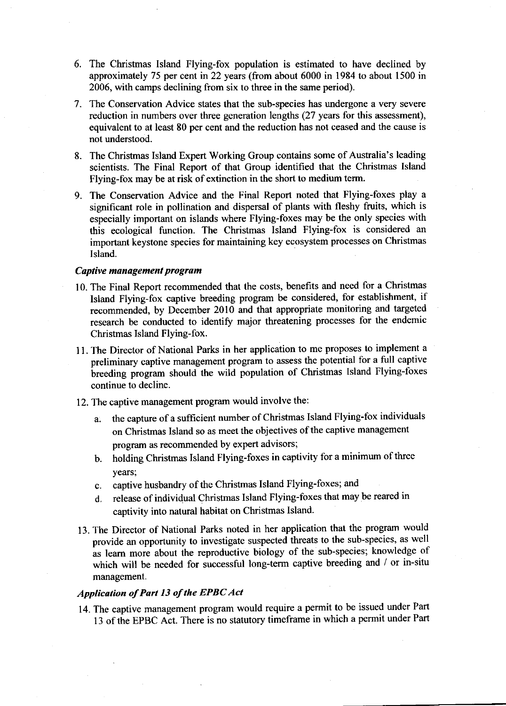- 6. The Christmas Island Flying-fox population is estimated to have declined by approximately 75 per cent in 22 yearc (from about 6000 in 1984 to about 1500 in 2006, with camps declining ftom six to three in the same period).
- 7. The Conservation Advice states that the sub-species has undergone a very severe reduction in numbers over three generation lengths (27 years for this assessment), equivalent to at least 80 per cent and the reduction has not ceased and the cause is not understood.
- 8. The Christmas Island Expert Working Group contains some of Australia's leading scientists. The Final Report of that Group identified that the Christmas Island Flying-fox may be at risk of extinction in the short to medium term.
- 9. The Conservation Advice and the Final Report noted that Flying-foxes play <sup>a</sup> significant role in pollination and dispersal of plants with fleshy fruits, which is especially important on islands where Flying-foxes may be the only species with this ecological function. The Christmas Island Flying-fox is considered an important keystone species for maintaining key ecosystem processes on Christmas lsland.

## Captive management program

- 10. The Final Report recommended that the costs, benefits and need for a Christmas Island Flying-fox captive breeding program be considered, for establishment, if recommended, by December 2010 and that appropriate monitoring and targeted research be conducted to identify major threatening processes for the endemic Christmas Island Flying-fox.
- 11. The Director of National Parks in her application to me proposes to implement <sup>a</sup> preliminary captive management program to assess the potential for a full captive breeding program should the wild population of Christmas Island Flying-foxes continue to decline.
- 12. The captive management program would involve the:
	- a. the capture of a sufficient number of Christmas Island Flying-fox individuals on Christmas Island so as meet the objectives of the captive management program as recommended by expert advisors;
	- b. holding Christmas Island Flying-foxes in captivity for a minimum of three years;
	- c. captive husbandry of the Christmas Island Flying-foxes; and
	- d. release of individual Christmas Island Flying-foxes that may be reared in captivity into natural habitat on Christmas Island.
- 13. The Director of National Parks noted in her application that the program would provide an opportunity to investigate suspected threats to the sub-species, as well as leam more about the reproductive biology of the sub-species; knowledge of which will be needed for successful long-term captive breeding and / or in-situ management.

#### Application of Part 13 of the EPBC Act

14. The captive management program would require a permit to be issued under Part 13 of the EPBC Act. There is no statutory timeframe in which a permit under Part